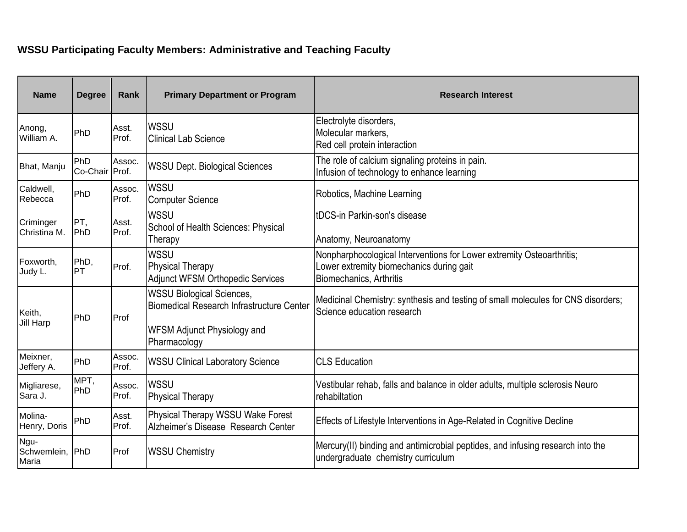## **WSSU Participating Faculty Members: Administrative and Teaching Faculty**

| <b>Name</b>                  | <b>Degree</b>         | Rank            | <b>Primary Department or Program</b>                                                                                                       | <b>Research Interest</b>                                                                                                                     |
|------------------------------|-----------------------|-----------------|--------------------------------------------------------------------------------------------------------------------------------------------|----------------------------------------------------------------------------------------------------------------------------------------------|
| Anong,<br>William A.         | PhD                   | Asst.<br>Prof.  | <b>WSSU</b><br><b>Clinical Lab Science</b>                                                                                                 | Electrolyte disorders,<br>Molecular markers,<br>Red cell protein interaction                                                                 |
| Bhat, Manju                  | PhD<br>Co-Chair Prof. | Assoc.          | <b>WSSU Dept. Biological Sciences</b>                                                                                                      | The role of calcium signaling proteins in pain.<br>Infusion of technology to enhance learning                                                |
| Caldwell,<br>Rebecca         | PhD                   | Assoc.<br>Prof. | <b>WSSU</b><br><b>Computer Science</b>                                                                                                     | Robotics, Machine Learning                                                                                                                   |
| Criminger<br>Christina M.    | PT,<br>PhD            | Asst.<br>Prof.  | <b>WSSU</b><br>School of Health Sciences: Physical<br>Therapy                                                                              | tDCS-in Parkin-son's disease<br>Anatomy, Neuroanatomy                                                                                        |
| Foxworth,<br>Judy L.         | PhD,<br><b>PT</b>     | Prof.           | <b>WSSU</b><br><b>Physical Therapy</b><br><b>Adjunct WFSM Orthopedic Services</b>                                                          | Nonpharphocological Interventions for Lower extremity Osteoarthritis;<br>Lower extremity biomechanics during gait<br>Biomechanics, Arthritis |
| Keith,<br><b>Jill Harp</b>   | PhD                   | Prof            | <b>WSSU Biological Sciences,</b><br><b>Biomedical Research Infrastructure Center</b><br><b>WFSM Adjunct Physiology and</b><br>Pharmacology | Medicinal Chemistry: synthesis and testing of small molecules for CNS disorders;<br>Science education research                               |
| Meixner,<br>Jeffery A.       | PhD                   | Assoc.<br>Prof. | <b>WSSU Clinical Laboratory Science</b>                                                                                                    | <b>CLS Education</b>                                                                                                                         |
| Migliarese,<br>Sara J.       | MPT,<br>PhD           | Assoc.<br>Prof. | <b>WSSU</b><br><b>Physical Therapy</b>                                                                                                     | Vestibular rehab, falls and balance in older adults, multiple sclerosis Neuro<br>rehabiltation                                               |
| Molina-<br>Henry, Doris      | PhD                   | Asst.<br>Prof.  | Physical Therapy WSSU Wake Forest<br>Alzheimer's Disease Research Center                                                                   | Effects of Lifestyle Interventions in Age-Related in Cognitive Decline                                                                       |
| Ngu-<br>Schwemlein,<br>Maria | PhD                   | Prof            | <b>WSSU Chemistry</b>                                                                                                                      | Mercury(II) binding and antimicrobial peptides, and infusing research into the<br>undergraduate chemistry curriculum                         |